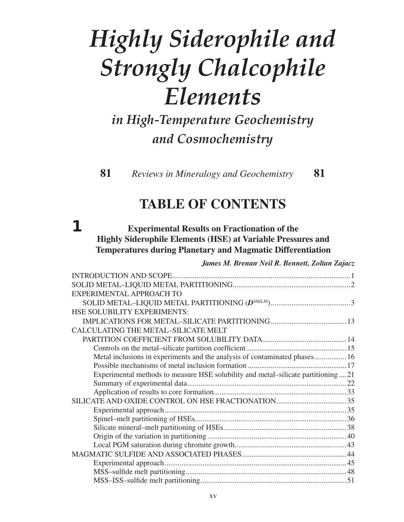# *Highly Siderophile and Strongly Chalcophile Elements*

*in High-Temperature Geochemistry and Cosmochemistry*

 **81** *Reviews in Mineralogy and Geochemistry* **81** 

# **TABLE OF CONTENTS**

### **1 Experimental Results on Fractionation of the Highly Siderophile Elements (HSE) at Variable Pressures and Temperatures during Planetary and Magmatic Differentiation**

*James M. Brenan, Neil R. Bennett, Zoltan Zajacz*

| Metal inclusions in experiments and the analysis of contaminated phases 16        |
|-----------------------------------------------------------------------------------|
|                                                                                   |
| Experimental methods to measure HSE solubility and metal-silicate partitioning 21 |
|                                                                                   |
|                                                                                   |
|                                                                                   |
|                                                                                   |
|                                                                                   |
|                                                                                   |
|                                                                                   |
|                                                                                   |
|                                                                                   |
|                                                                                   |
|                                                                                   |
|                                                                                   |
|                                                                                   |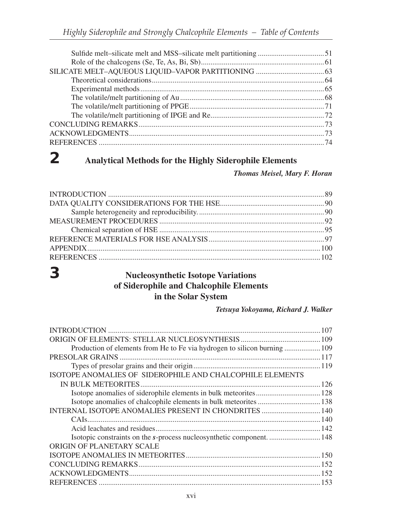# **2 Analytical Methods for the Highly Siderophile Elements**

#### *Thomas Meisel, Mary F. Horan*

### **3 Nucleosynthetic Isotope Variations of Siderophile and Chalcophile Elements in the Solar System**

#### *Tetsuya Yokoyama, Richard J. Walker*

| Production of elements from He to Fe via hydrogen to silicon burning  109 |  |
|---------------------------------------------------------------------------|--|
|                                                                           |  |
|                                                                           |  |
| ISOTOPE ANOMALIES OF SIDEROPHILE AND CHALCOPHILE ELEMENTS                 |  |
|                                                                           |  |
|                                                                           |  |
|                                                                           |  |
| INTERNAL ISOTOPE ANOMALIES PRESENT IN CHONDRITES  140                     |  |
|                                                                           |  |
|                                                                           |  |
|                                                                           |  |
| ORIGIN OF PLANETARY SCALE                                                 |  |
|                                                                           |  |
|                                                                           |  |
|                                                                           |  |
|                                                                           |  |
|                                                                           |  |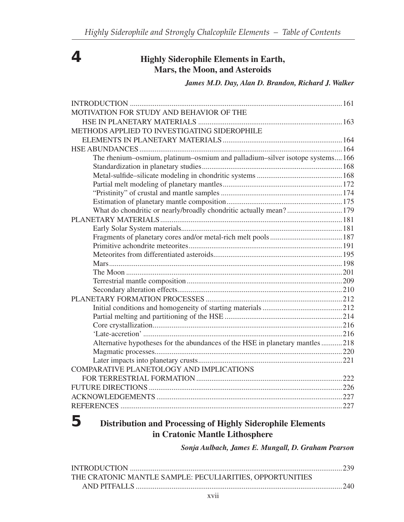## **4 Highly Siderophile Elements in Earth, Mars, the Moon, and Asteroids**

#### *James M.D. Day, Alan D. Brandon, Richard J. Walker*

| MOTIVATION FOR STUDY AND BEHAVIOR OF THE                                     |  |
|------------------------------------------------------------------------------|--|
|                                                                              |  |
| METHODS APPLIED TO INVESTIGATING SIDEROPHILE                                 |  |
|                                                                              |  |
|                                                                              |  |
| The rhenium-osmium, platinum-osmium and palladium-silver isotope systems166  |  |
|                                                                              |  |
|                                                                              |  |
|                                                                              |  |
|                                                                              |  |
|                                                                              |  |
| What do chondritic or nearly/broadly chondritic actually mean? 179           |  |
|                                                                              |  |
|                                                                              |  |
|                                                                              |  |
|                                                                              |  |
|                                                                              |  |
|                                                                              |  |
|                                                                              |  |
|                                                                              |  |
|                                                                              |  |
|                                                                              |  |
|                                                                              |  |
|                                                                              |  |
|                                                                              |  |
|                                                                              |  |
| Alternative hypotheses for the abundances of the HSE in planetary mantles218 |  |
|                                                                              |  |
|                                                                              |  |
| COMPARATIVE PLANETOLOGY AND IMPLICATIONS                                     |  |
|                                                                              |  |
|                                                                              |  |
|                                                                              |  |
|                                                                              |  |
|                                                                              |  |

# **5 Distribution and Processing of Highly Siderophile Elements in Cratonic Mantle Lithosphere**

*Sonja Aulbach, James E. Mungall, D. Graham Pearson*

| THE CRATONIC MANTLE SAMPLE: PECULIARITIES, OPPORTUNITIES |  |
|----------------------------------------------------------|--|
|                                                          |  |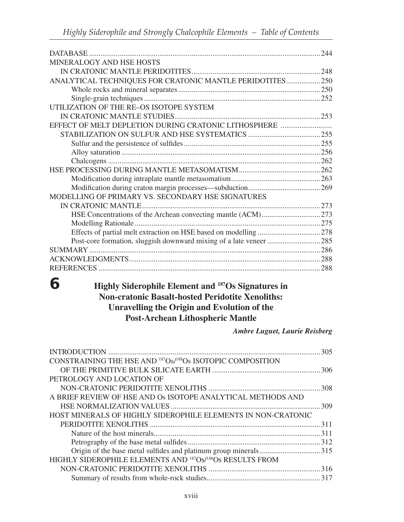|                                                          | 244 |
|----------------------------------------------------------|-----|
| MINERALOGY AND HSE HOSTS                                 |     |
|                                                          |     |
| ANALYTICAL TECHNIQUES FOR CRATONIC MANTLE PERIDOTITES250 |     |
|                                                          |     |
|                                                          |     |
| UTILIZATION OF THE RE-OS ISOTOPE SYSTEM                  |     |
|                                                          |     |
| EFFECT OF MELT DEPLETION DURING CRATONIC LITHOSPHERE     |     |
|                                                          |     |
|                                                          |     |
|                                                          |     |
|                                                          |     |
|                                                          |     |
|                                                          |     |
|                                                          |     |
| MODELLING OF PRIMARY VS. SECONDARY HSE SIGNATURES        |     |
|                                                          |     |
|                                                          |     |
|                                                          |     |
|                                                          |     |
|                                                          |     |
|                                                          |     |
|                                                          |     |
| <b>REFERENCES</b>                                        |     |

### **6 Highly Siderophile Element and 187Os Signatures in Non-cratonic Basalt-hosted Peridotite Xenoliths: Unravelling the Origin and Evolution of the Post-Archean Lithospheric Mantle**

*Ambre Luguet, Laurie Reisberg*

|                                                                                    | 305 |
|------------------------------------------------------------------------------------|-----|
| CONSTRAINING THE HSE AND <sup>187</sup> Os/ <sup>188</sup> Os ISOTOPIC COMPOSITION |     |
|                                                                                    |     |
| PETROLOGY AND LOCATION OF                                                          |     |
|                                                                                    |     |
| A BRIEF REVIEW OF HSE AND OS ISOTOPE ANALYTICAL METHODS AND                        |     |
|                                                                                    |     |
| HOST MINERALS OF HIGHLY SIDEROPHILE ELEMENTS IN NON-CRATONIC                       |     |
|                                                                                    |     |
|                                                                                    |     |
|                                                                                    |     |
| Origin of the base metal sulfides and platinum group minerals315                   |     |
| HIGHLY SIDEROPHILE ELEMENTS AND <sup>187</sup> Os/ <sup>188</sup> Os RESULTS FROM  |     |
|                                                                                    |     |
|                                                                                    |     |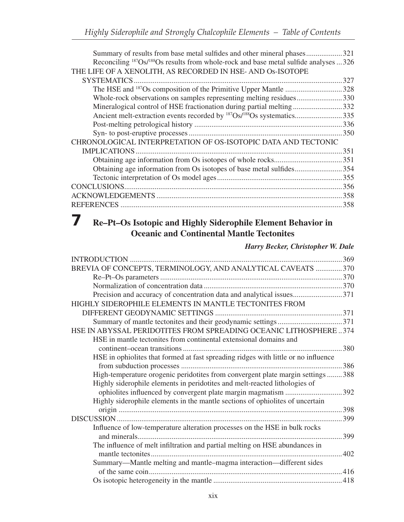| Summary of results from base metal sulfides and other mineral phases321                                      |  |
|--------------------------------------------------------------------------------------------------------------|--|
| Reconciling <sup>187</sup> Os/ <sup>188</sup> Os results from whole-rock and base metal sulfide analyses 326 |  |
| THE LIFE OF A XENOLITH, AS RECORDED IN HSE- AND OS-ISOTOPE                                                   |  |
| SYSTEMATICS.<br>327                                                                                          |  |
| 328                                                                                                          |  |
| Whole-rock observations on samples representing melting residues330                                          |  |
| Mineralogical control of HSE fractionation during partial melting332                                         |  |
| 335                                                                                                          |  |
|                                                                                                              |  |
| .350                                                                                                         |  |
| CHRONOLOGICAL INTERPRETATION OF OS-ISOTOPIC DATA AND TECTONIC                                                |  |
| 351                                                                                                          |  |
|                                                                                                              |  |
| Obtaining age information from Os isotopes of base metal sulfides354                                         |  |
|                                                                                                              |  |
|                                                                                                              |  |
| 358                                                                                                          |  |
| <b>REFERENCES</b><br>358                                                                                     |  |

# **7 Re–Pt–Os Isotopic and Highly Siderophile Element Behavior in Oceanic and Continental Mantle Tectonites**

### *Harry Becker, Christopher W. Dale*

| BREVIA OF CONCEPTS, TERMINOLOGY, AND ANALYTICAL CAVEATS 370                        |      |
|------------------------------------------------------------------------------------|------|
|                                                                                    |      |
|                                                                                    |      |
| Precision and accuracy of concentration data and analytical issues371              |      |
| HIGHLY SIDEROPHILE ELEMENTS IN MANTLE TECTONITES FROM                              |      |
| DIFFERENT GEODYNAMIC SETTINGS                                                      |      |
|                                                                                    |      |
| HSE IN ABYSSAL PERIDOTITES FROM SPREADING OCEANIC LITHOSPHERE374                   |      |
| HSE in mantle tectonites from continental extensional domains and                  |      |
|                                                                                    | .380 |
| HSE in ophiolites that formed at fast spreading ridges with little or no influence |      |
|                                                                                    | .386 |
| High-temperature orogenic peridotites from convergent plate margin settings  388   |      |
| Highly siderophile elements in peridotites and melt-reacted lithologies of         |      |
| ophiolites influenced by convergent plate margin magmatism 392                     |      |
| Highly siderophile elements in the mantle sections of ophiolites of uncertain      |      |
|                                                                                    | 398  |
|                                                                                    | 399  |
| Influence of low-temperature alteration processes on the HSE in bulk rocks         |      |
|                                                                                    | .399 |
| The influence of melt infiltration and partial melting on HSE abundances in        |      |
|                                                                                    |      |
| Summary—Mantle melting and mantle-magma interaction—different sides                |      |
|                                                                                    |      |
|                                                                                    |      |
|                                                                                    |      |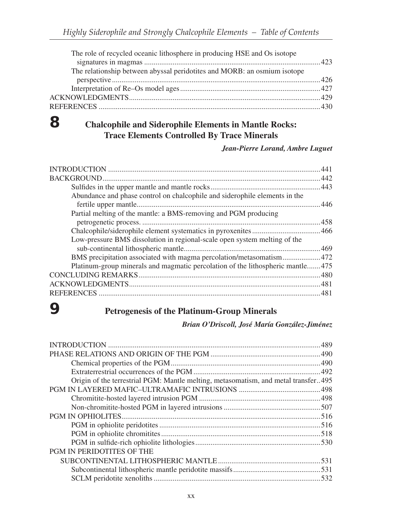| The role of recycled oceanic lithosphere in producing HSE and Os isotope |  |
|--------------------------------------------------------------------------|--|
|                                                                          |  |
| The relationship between abyssal peridotites and MORB: an osmium isotope |  |
|                                                                          |  |
|                                                                          |  |
|                                                                          |  |
|                                                                          |  |
|                                                                          |  |

# **8 Chalcophile and Siderophile Elements in Mantle Rocks: Trace Elements Controlled By Trace Minerals**

#### *Jean-Pierre Lorand, Ambre Luguet*

|                                                                                | 441 |
|--------------------------------------------------------------------------------|-----|
|                                                                                | 442 |
|                                                                                |     |
| Abundance and phase control on chalcophile and siderophile elements in the     |     |
|                                                                                | 446 |
| Partial melting of the mantle: a BMS-removing and PGM producing                |     |
|                                                                                | 458 |
|                                                                                |     |
| Low-pressure BMS dissolution in regional-scale open system melting of the      |     |
|                                                                                |     |
| BMS precipitation associated with magma percolation/metasomatism472            |     |
| Platinum-group minerals and magmatic percolation of the lithospheric mantle475 |     |
|                                                                                |     |
|                                                                                |     |
|                                                                                | 481 |
|                                                                                |     |

# **9 Petrogenesis of the Platinum-Group Minerals**

### *Brian O'Driscoll, José María González-Jiménez*

| Origin of the terrestrial PGM: Mantle melting, metasomatism, and metal transfer495 |  |
|------------------------------------------------------------------------------------|--|
|                                                                                    |  |
|                                                                                    |  |
|                                                                                    |  |
|                                                                                    |  |
|                                                                                    |  |
|                                                                                    |  |
|                                                                                    |  |
| PGM IN PERIDOTITES OF THE                                                          |  |
|                                                                                    |  |
|                                                                                    |  |
|                                                                                    |  |
|                                                                                    |  |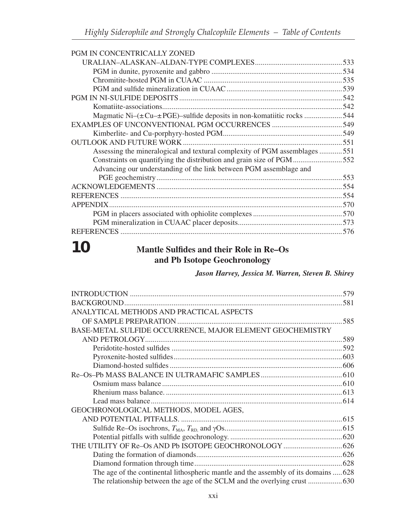| PGM IN CONCENTRICALLY ZONED                                                     |  |
|---------------------------------------------------------------------------------|--|
|                                                                                 |  |
|                                                                                 |  |
|                                                                                 |  |
|                                                                                 |  |
|                                                                                 |  |
|                                                                                 |  |
| Magmatic Ni $-(\pm Cu - \pm PGE)$ -sulfide deposits in non-komatiitic rocks 544 |  |
|                                                                                 |  |
|                                                                                 |  |
|                                                                                 |  |
| Assessing the mineralogical and textural complexity of PGM assemblages 551      |  |
| Constraints on quantifying the distribution and grain size of PGM552            |  |
| Advancing our understanding of the link between PGM assemblage and              |  |
|                                                                                 |  |
|                                                                                 |  |
|                                                                                 |  |
| APPENDIX.                                                                       |  |
|                                                                                 |  |
|                                                                                 |  |
| <b>REFERENCES</b>                                                               |  |
|                                                                                 |  |

# **10 Mantle Sulfides and their Role in Re–Os and Pb Isotope Geochronology**

*Jason Harvey, Jessica M. Warren, Steven B. Shirey*

| ANALYTICAL METHODS AND PRACTICAL ASPECTS                                            |  |
|-------------------------------------------------------------------------------------|--|
|                                                                                     |  |
| BASE-METAL SULFIDE OCCURRENCE, MAJOR ELEMENT GEOCHEMISTRY                           |  |
|                                                                                     |  |
|                                                                                     |  |
|                                                                                     |  |
|                                                                                     |  |
|                                                                                     |  |
|                                                                                     |  |
|                                                                                     |  |
|                                                                                     |  |
| GEOCHRONOLOGICAL METHODS, MODEL AGES,                                               |  |
|                                                                                     |  |
|                                                                                     |  |
|                                                                                     |  |
|                                                                                     |  |
|                                                                                     |  |
|                                                                                     |  |
| The age of the continental lithospheric mantle and the assembly of its domains  628 |  |
| The relationship between the age of the SCLM and the overlying crust  630           |  |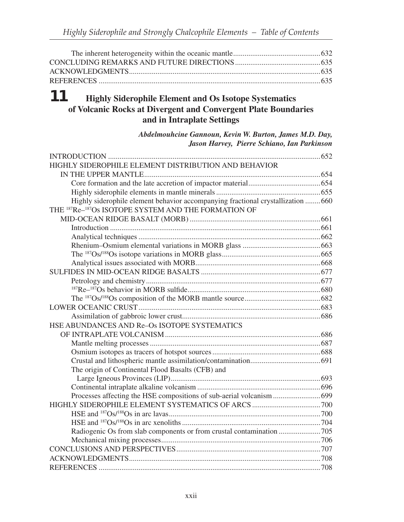### **11 Highly Siderophile Element and Os Isotope Systematics of Volcanic Rocks at Divergent and Convergent Plate Boundaries and in Intraplate Settings**

*Abdelmouhcine Gannoun, Kevin W. Burton, James M.D. Day, Jason Harvey, Pierre Schiano, Ian Parkinson*

| HIGHLY SIDEROPHILE ELEMENT DISTRIBUTION AND BEHAVIOR                             |  |
|----------------------------------------------------------------------------------|--|
|                                                                                  |  |
|                                                                                  |  |
|                                                                                  |  |
| Highly siderophile element behavior accompanying fractional crystallization  660 |  |
| THE <sup>187</sup> Re- <sup>187</sup> Os ISOTOPE SYSTEM AND THE FORMATION OF     |  |
|                                                                                  |  |
|                                                                                  |  |
|                                                                                  |  |
|                                                                                  |  |
|                                                                                  |  |
|                                                                                  |  |
|                                                                                  |  |
|                                                                                  |  |
|                                                                                  |  |
|                                                                                  |  |
|                                                                                  |  |
|                                                                                  |  |
| HSE ABUNDANCES AND Re-Os ISOTOPE SYSTEMATICS                                     |  |
|                                                                                  |  |
|                                                                                  |  |
|                                                                                  |  |
|                                                                                  |  |
| The origin of Continental Flood Basalts (CFB) and                                |  |
|                                                                                  |  |
|                                                                                  |  |
|                                                                                  |  |
|                                                                                  |  |
|                                                                                  |  |
|                                                                                  |  |
|                                                                                  |  |
|                                                                                  |  |
|                                                                                  |  |
|                                                                                  |  |
|                                                                                  |  |